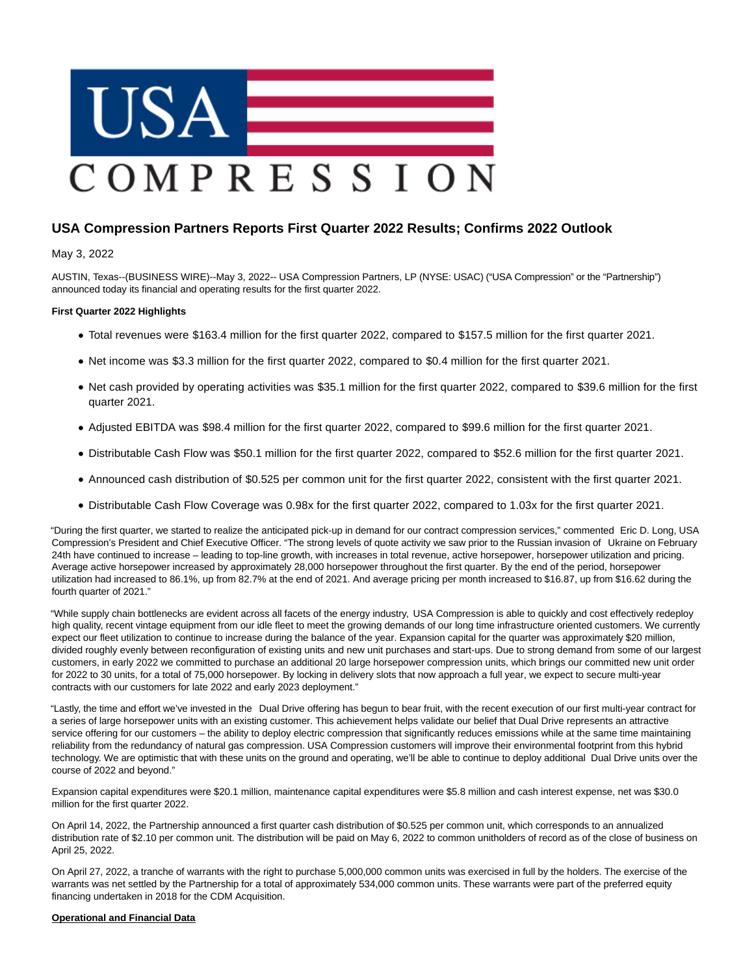

# **USA Compression Partners Reports First Quarter 2022 Results; Confirms 2022 Outlook**

# May 3, 2022

AUSTIN, Texas--(BUSINESS WIRE)--May 3, 2022-- USA Compression Partners, LP (NYSE: USAC) ("USA Compression" or the "Partnership") announced today its financial and operating results for the first quarter 2022.

# **First Quarter 2022 Highlights**

- Total revenues were \$163.4 million for the first quarter 2022, compared to \$157.5 million for the first quarter 2021.
- Net income was \$3.3 million for the first quarter 2022, compared to \$0.4 million for the first quarter 2021.
- Net cash provided by operating activities was \$35.1 million for the first quarter 2022, compared to \$39.6 million for the first quarter 2021.
- Adjusted EBITDA was \$98.4 million for the first quarter 2022, compared to \$99.6 million for the first quarter 2021.
- Distributable Cash Flow was \$50.1 million for the first quarter 2022, compared to \$52.6 million for the first quarter 2021.
- Announced cash distribution of \$0.525 per common unit for the first quarter 2022, consistent with the first quarter 2021.
- Distributable Cash Flow Coverage was 0.98x for the first quarter 2022, compared to 1.03x for the first quarter 2021.

"During the first quarter, we started to realize the anticipated pick-up in demand for our contract compression services," commented Eric D. Long, USA Compression's President and Chief Executive Officer. "The strong levels of quote activity we saw prior to the Russian invasion of Ukraine on February 24th have continued to increase – leading to top-line growth, with increases in total revenue, active horsepower, horsepower utilization and pricing. Average active horsepower increased by approximately 28,000 horsepower throughout the first quarter. By the end of the period, horsepower utilization had increased to 86.1%, up from 82.7% at the end of 2021. And average pricing per month increased to \$16.87, up from \$16.62 during the fourth quarter of 2021."

"While supply chain bottlenecks are evident across all facets of the energy industry, USA Compression is able to quickly and cost effectively redeploy high quality, recent vintage equipment from our idle fleet to meet the growing demands of our long time infrastructure oriented customers. We currently expect our fleet utilization to continue to increase during the balance of the year. Expansion capital for the quarter was approximately \$20 million, divided roughly evenly between reconfiguration of existing units and new unit purchases and start-ups. Due to strong demand from some of our largest customers, in early 2022 we committed to purchase an additional 20 large horsepower compression units, which brings our committed new unit order for 2022 to 30 units, for a total of 75,000 horsepower. By locking in delivery slots that now approach a full year, we expect to secure multi-year contracts with our customers for late 2022 and early 2023 deployment."

"Lastly, the time and effort we've invested in the Dual Drive offering has begun to bear fruit, with the recent execution of our first multi-year contract for a series of large horsepower units with an existing customer. This achievement helps validate our belief that Dual Drive represents an attractive service offering for our customers – the ability to deploy electric compression that significantly reduces emissions while at the same time maintaining reliability from the redundancy of natural gas compression. USA Compression customers will improve their environmental footprint from this hybrid technology. We are optimistic that with these units on the ground and operating, we'll be able to continue to deploy additional Dual Drive units over the course of 2022 and beyond."

Expansion capital expenditures were \$20.1 million, maintenance capital expenditures were \$5.8 million and cash interest expense, net was \$30.0 million for the first quarter 2022.

On April 14, 2022, the Partnership announced a first quarter cash distribution of \$0.525 per common unit, which corresponds to an annualized distribution rate of \$2.10 per common unit. The distribution will be paid on May 6, 2022 to common unitholders of record as of the close of business on April 25, 2022.

On April 27, 2022, a tranche of warrants with the right to purchase 5,000,000 common units was exercised in full by the holders. The exercise of the warrants was net settled by the Partnership for a total of approximately 534,000 common units. These warrants were part of the preferred equity financing undertaken in 2018 for the CDM Acquisition.

# **Operational and Financial Data**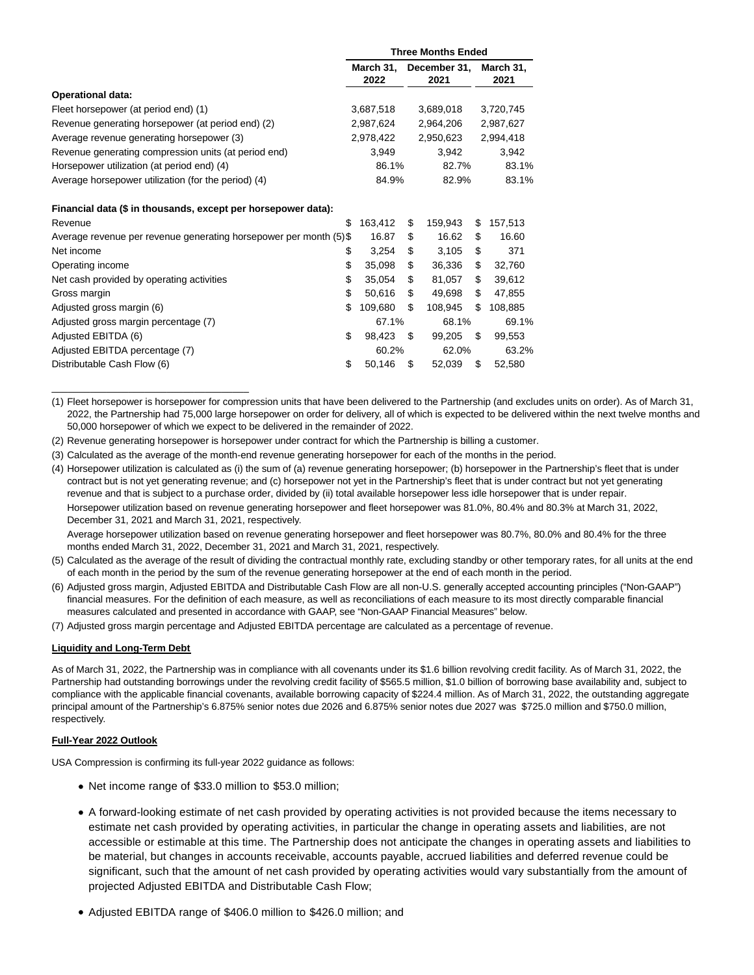|                                                                    | <b>Three Months Ended</b> |           |    |                      |    |                   |  |  |
|--------------------------------------------------------------------|---------------------------|-----------|----|----------------------|----|-------------------|--|--|
|                                                                    | March 31.<br>2022         |           |    | December 31,<br>2021 |    | March 31,<br>2021 |  |  |
| <b>Operational data:</b>                                           |                           |           |    |                      |    |                   |  |  |
| Fleet horsepower (at period end) (1)                               |                           | 3,687,518 |    | 3,689,018            |    | 3,720,745         |  |  |
| Revenue generating horsepower (at period end) (2)                  | 2,987,624                 |           |    | 2,964,206            |    | 2,987,627         |  |  |
| Average revenue generating horsepower (3)                          | 2,978,422                 |           |    | 2,950,623            |    | 2,994,418         |  |  |
| Revenue generating compression units (at period end)               |                           | 3.949     |    | 3.942                |    | 3,942             |  |  |
| Horsepower utilization (at period end) (4)                         |                           | 86.1%     |    | 82.7%                |    | 83.1%             |  |  |
| Average horsepower utilization (for the period) (4)                |                           | 84.9%     |    | 82.9%                |    | 83.1%             |  |  |
| Financial data (\$ in thousands, except per horsepower data):      |                           |           |    |                      |    |                   |  |  |
| Revenue                                                            | \$                        | 163,412   | \$ | 159,943              | \$ | 157,513           |  |  |
| Average revenue per revenue generating horsepower per month (5) \$ |                           | 16.87     | \$ | 16.62                | \$ | 16.60             |  |  |
| Net income                                                         | \$                        | 3,254     | \$ | 3,105                | \$ | 371               |  |  |
| Operating income                                                   | \$                        | 35,098    | \$ | 36,336               | \$ | 32,760            |  |  |
| Net cash provided by operating activities                          | \$                        | 35,054    | \$ | 81,057               | \$ | 39,612            |  |  |
| Gross margin                                                       | \$                        | 50,616    | \$ | 49,698               | \$ | 47,855            |  |  |
| Adjusted gross margin (6)                                          | \$                        | 109.680   | \$ | 108,945              | \$ | 108,885           |  |  |
| Adjusted gross margin percentage (7)                               |                           | 67.1%     |    | 68.1%                |    | 69.1%             |  |  |
| Adjusted EBITDA (6)                                                | \$                        | 98.423    | \$ | 99.205               | \$ | 99.553            |  |  |
| Adjusted EBITDA percentage (7)                                     |                           | 60.2%     |    | 62.0%                |    | 63.2%             |  |  |
| Distributable Cash Flow (6)                                        | \$                        | 50,146    | \$ | 52,039               | \$ | 52,580            |  |  |

(1) Fleet horsepower is horsepower for compression units that have been delivered to the Partnership (and excludes units on order). As of March 31, 2022, the Partnership had 75,000 large horsepower on order for delivery, all of which is expected to be delivered within the next twelve months and 50,000 horsepower of which we expect to be delivered in the remainder of 2022.

(2) Revenue generating horsepower is horsepower under contract for which the Partnership is billing a customer.

(3) Calculated as the average of the month-end revenue generating horsepower for each of the months in the period.

(4) Horsepower utilization is calculated as (i) the sum of (a) revenue generating horsepower; (b) horsepower in the Partnership's fleet that is under contract but is not yet generating revenue; and (c) horsepower not yet in the Partnership's fleet that is under contract but not yet generating revenue and that is subject to a purchase order, divided by (ii) total available horsepower less idle horsepower that is under repair. Horsepower utilization based on revenue generating horsepower and fleet horsepower was 81.0%, 80.4% and 80.3% at March 31, 2022, December 31, 2021 and March 31, 2021, respectively. Average horsepower utilization based on revenue generating horsepower and fleet horsepower was 80.7%, 80.0% and 80.4% for the three months ended March 31, 2022, December 31, 2021 and March 31, 2021, respectively.

(5) Calculated as the average of the result of dividing the contractual monthly rate, excluding standby or other temporary rates, for all units at the end of each month in the period by the sum of the revenue generating horsepower at the end of each month in the period.

(6) Adjusted gross margin, Adjusted EBITDA and Distributable Cash Flow are all non-U.S. generally accepted accounting principles ("Non-GAAP") financial measures. For the definition of each measure, as well as reconciliations of each measure to its most directly comparable financial measures calculated and presented in accordance with GAAP, see "Non-GAAP Financial Measures" below.

(7) Adjusted gross margin percentage and Adjusted EBITDA percentage are calculated as a percentage of revenue.

# **Liquidity and Long-Term Debt**

\_\_\_\_\_\_\_\_\_\_\_\_\_\_\_\_\_\_\_\_\_\_\_\_\_\_\_\_\_\_\_\_\_\_\_\_

As of March 31, 2022, the Partnership was in compliance with all covenants under its \$1.6 billion revolving credit facility. As of March 31, 2022, the Partnership had outstanding borrowings under the revolving credit facility of \$565.5 million, \$1.0 billion of borrowing base availability and, subject to compliance with the applicable financial covenants, available borrowing capacity of \$224.4 million. As of March 31, 2022, the outstanding aggregate principal amount of the Partnership's 6.875% senior notes due 2026 and 6.875% senior notes due 2027 was \$725.0 million and \$750.0 million, respectively.

# **Full-Year 2022 Outlook**

USA Compression is confirming its full-year 2022 guidance as follows:

- Net income range of \$33.0 million to \$53.0 million;
- A forward-looking estimate of net cash provided by operating activities is not provided because the items necessary to estimate net cash provided by operating activities, in particular the change in operating assets and liabilities, are not accessible or estimable at this time. The Partnership does not anticipate the changes in operating assets and liabilities to be material, but changes in accounts receivable, accounts payable, accrued liabilities and deferred revenue could be significant, such that the amount of net cash provided by operating activities would vary substantially from the amount of projected Adjusted EBITDA and Distributable Cash Flow;
- Adjusted EBITDA range of \$406.0 million to \$426.0 million; and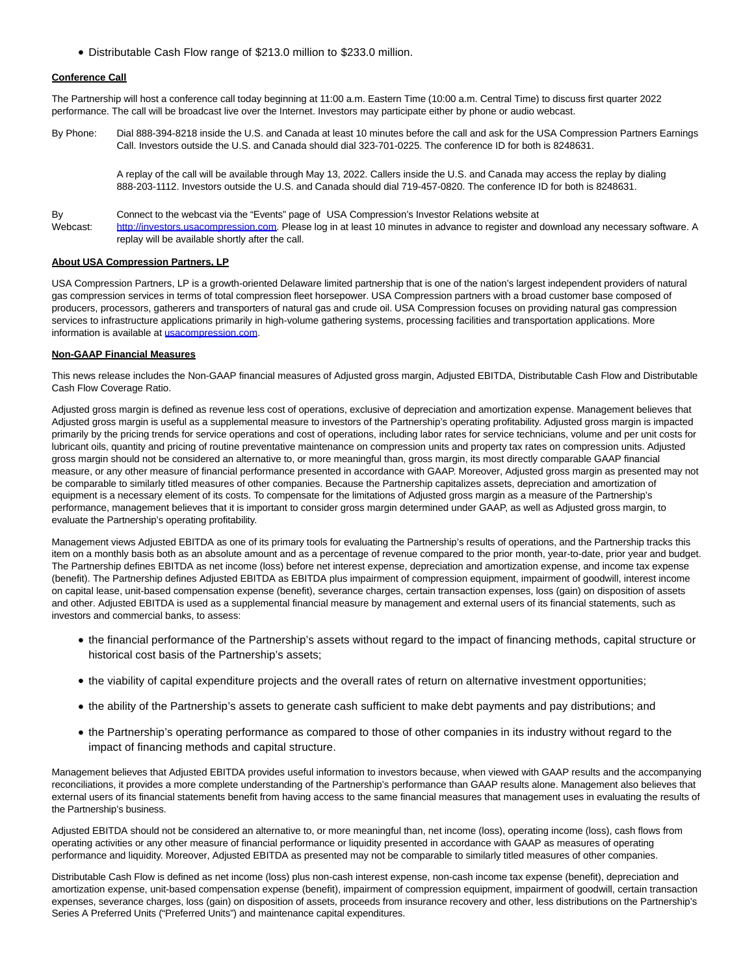Distributable Cash Flow range of \$213.0 million to \$233.0 million.

# **Conference Call**

The Partnership will host a conference call today beginning at 11:00 a.m. Eastern Time (10:00 a.m. Central Time) to discuss first quarter 2022 performance. The call will be broadcast live over the Internet. Investors may participate either by phone or audio webcast.

By Phone: Dial 888-394-8218 inside the U.S. and Canada at least 10 minutes before the call and ask for the USA Compression Partners Earnings Call. Investors outside the U.S. and Canada should dial 323-701-0225. The conference ID for both is 8248631.

A replay of the call will be available through May 13, 2022. Callers inside the U.S. and Canada may access the replay by dialing 888-203-1112. Investors outside the U.S. and Canada should dial 719-457-0820. The conference ID for both is 8248631.

By Webcast: Connect to the webcast via the "Events" page of USA Compression's Investor Relations website at [http://investors.usacompression.com.](https://cts.businesswire.com/ct/CT?id=smartlink&url=http%3A%2F%2Finvestors.usacompression.com&esheet=52705061&newsitemid=20220503005383&lan=en-US&anchor=http%3A%2F%2Finvestors.usacompression.com&index=1&md5=80258eac7abff1e63659ea313b4d454f) Please log in at least 10 minutes in advance to register and download any necessary software. A replay will be available shortly after the call.

#### **About USA Compression Partners, LP**

USA Compression Partners, LP is a growth-oriented Delaware limited partnership that is one of the nation's largest independent providers of natural gas compression services in terms of total compression fleet horsepower. USA Compression partners with a broad customer base composed of producers, processors, gatherers and transporters of natural gas and crude oil. USA Compression focuses on providing natural gas compression services to infrastructure applications primarily in high-volume gathering systems, processing facilities and transportation applications. More information is available at [usacompression.com.](http://usacompression.com/)

#### **Non-GAAP Financial Measures**

This news release includes the Non-GAAP financial measures of Adjusted gross margin, Adjusted EBITDA, Distributable Cash Flow and Distributable Cash Flow Coverage Ratio.

Adjusted gross margin is defined as revenue less cost of operations, exclusive of depreciation and amortization expense. Management believes that Adjusted gross margin is useful as a supplemental measure to investors of the Partnership's operating profitability. Adjusted gross margin is impacted primarily by the pricing trends for service operations and cost of operations, including labor rates for service technicians, volume and per unit costs for lubricant oils, quantity and pricing of routine preventative maintenance on compression units and property tax rates on compression units. Adjusted gross margin should not be considered an alternative to, or more meaningful than, gross margin, its most directly comparable GAAP financial measure, or any other measure of financial performance presented in accordance with GAAP. Moreover, Adjusted gross margin as presented may not be comparable to similarly titled measures of other companies. Because the Partnership capitalizes assets, depreciation and amortization of equipment is a necessary element of its costs. To compensate for the limitations of Adjusted gross margin as a measure of the Partnership's performance, management believes that it is important to consider gross margin determined under GAAP, as well as Adjusted gross margin, to evaluate the Partnership's operating profitability.

Management views Adjusted EBITDA as one of its primary tools for evaluating the Partnership's results of operations, and the Partnership tracks this item on a monthly basis both as an absolute amount and as a percentage of revenue compared to the prior month, year-to-date, prior year and budget. The Partnership defines EBITDA as net income (loss) before net interest expense, depreciation and amortization expense, and income tax expense (benefit). The Partnership defines Adjusted EBITDA as EBITDA plus impairment of compression equipment, impairment of goodwill, interest income on capital lease, unit-based compensation expense (benefit), severance charges, certain transaction expenses, loss (gain) on disposition of assets and other. Adjusted EBITDA is used as a supplemental financial measure by management and external users of its financial statements, such as investors and commercial banks, to assess:

- the financial performance of the Partnership's assets without regard to the impact of financing methods, capital structure or historical cost basis of the Partnership's assets;
- the viability of capital expenditure projects and the overall rates of return on alternative investment opportunities;
- the ability of the Partnership's assets to generate cash sufficient to make debt payments and pay distributions; and
- the Partnership's operating performance as compared to those of other companies in its industry without regard to the impact of financing methods and capital structure.

Management believes that Adjusted EBITDA provides useful information to investors because, when viewed with GAAP results and the accompanying reconciliations, it provides a more complete understanding of the Partnership's performance than GAAP results alone. Management also believes that external users of its financial statements benefit from having access to the same financial measures that management uses in evaluating the results of the Partnership's business.

Adjusted EBITDA should not be considered an alternative to, or more meaningful than, net income (loss), operating income (loss), cash flows from operating activities or any other measure of financial performance or liquidity presented in accordance with GAAP as measures of operating performance and liquidity. Moreover, Adjusted EBITDA as presented may not be comparable to similarly titled measures of other companies.

Distributable Cash Flow is defined as net income (loss) plus non-cash interest expense, non-cash income tax expense (benefit), depreciation and amortization expense, unit-based compensation expense (benefit), impairment of compression equipment, impairment of goodwill, certain transaction expenses, severance charges, loss (gain) on disposition of assets, proceeds from insurance recovery and other, less distributions on the Partnership's Series A Preferred Units ("Preferred Units") and maintenance capital expenditures.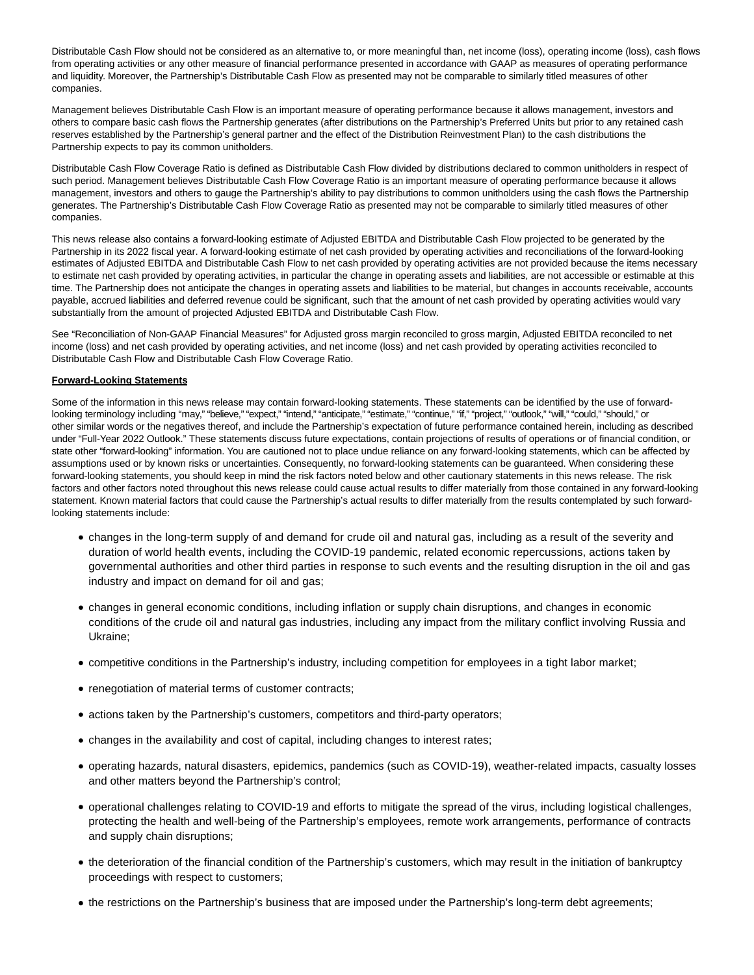Distributable Cash Flow should not be considered as an alternative to, or more meaningful than, net income (loss), operating income (loss), cash flows from operating activities or any other measure of financial performance presented in accordance with GAAP as measures of operating performance and liquidity. Moreover, the Partnership's Distributable Cash Flow as presented may not be comparable to similarly titled measures of other companies.

Management believes Distributable Cash Flow is an important measure of operating performance because it allows management, investors and others to compare basic cash flows the Partnership generates (after distributions on the Partnership's Preferred Units but prior to any retained cash reserves established by the Partnership's general partner and the effect of the Distribution Reinvestment Plan) to the cash distributions the Partnership expects to pay its common unitholders.

Distributable Cash Flow Coverage Ratio is defined as Distributable Cash Flow divided by distributions declared to common unitholders in respect of such period. Management believes Distributable Cash Flow Coverage Ratio is an important measure of operating performance because it allows management, investors and others to gauge the Partnership's ability to pay distributions to common unitholders using the cash flows the Partnership generates. The Partnership's Distributable Cash Flow Coverage Ratio as presented may not be comparable to similarly titled measures of other companies.

This news release also contains a forward-looking estimate of Adjusted EBITDA and Distributable Cash Flow projected to be generated by the Partnership in its 2022 fiscal year. A forward-looking estimate of net cash provided by operating activities and reconciliations of the forward-looking estimates of Adjusted EBITDA and Distributable Cash Flow to net cash provided by operating activities are not provided because the items necessary to estimate net cash provided by operating activities, in particular the change in operating assets and liabilities, are not accessible or estimable at this time. The Partnership does not anticipate the changes in operating assets and liabilities to be material, but changes in accounts receivable, accounts payable, accrued liabilities and deferred revenue could be significant, such that the amount of net cash provided by operating activities would vary substantially from the amount of projected Adjusted EBITDA and Distributable Cash Flow.

See "Reconciliation of Non-GAAP Financial Measures" for Adjusted gross margin reconciled to gross margin, Adjusted EBITDA reconciled to net income (loss) and net cash provided by operating activities, and net income (loss) and net cash provided by operating activities reconciled to Distributable Cash Flow and Distributable Cash Flow Coverage Ratio.

# **Forward-Looking Statements**

Some of the information in this news release may contain forward-looking statements. These statements can be identified by the use of forwardlooking terminology including "may," "believe," "expect," "intend," "anticipate," "estimate," "continue," "fi," "project," "outlook," "will," "could," "should," or other similar words or the negatives thereof, and include the Partnership's expectation of future performance contained herein, including as described under "Full-Year 2022 Outlook." These statements discuss future expectations, contain projections of results of operations or of financial condition, or state other "forward-looking" information. You are cautioned not to place undue reliance on any forward-looking statements, which can be affected by assumptions used or by known risks or uncertainties. Consequently, no forward-looking statements can be guaranteed. When considering these forward-looking statements, you should keep in mind the risk factors noted below and other cautionary statements in this news release. The risk factors and other factors noted throughout this news release could cause actual results to differ materially from those contained in any forward-looking statement. Known material factors that could cause the Partnership's actual results to differ materially from the results contemplated by such forwardlooking statements include:

- changes in the long-term supply of and demand for crude oil and natural gas, including as a result of the severity and duration of world health events, including the COVID-19 pandemic, related economic repercussions, actions taken by governmental authorities and other third parties in response to such events and the resulting disruption in the oil and gas industry and impact on demand for oil and gas;
- changes in general economic conditions, including inflation or supply chain disruptions, and changes in economic conditions of the crude oil and natural gas industries, including any impact from the military conflict involving Russia and Ukraine;
- competitive conditions in the Partnership's industry, including competition for employees in a tight labor market;
- renegotiation of material terms of customer contracts;
- actions taken by the Partnership's customers, competitors and third-party operators;
- changes in the availability and cost of capital, including changes to interest rates;
- operating hazards, natural disasters, epidemics, pandemics (such as COVID-19), weather-related impacts, casualty losses and other matters beyond the Partnership's control;
- operational challenges relating to COVID-19 and efforts to mitigate the spread of the virus, including logistical challenges, protecting the health and well-being of the Partnership's employees, remote work arrangements, performance of contracts and supply chain disruptions;
- the deterioration of the financial condition of the Partnership's customers, which may result in the initiation of bankruptcy proceedings with respect to customers;
- the restrictions on the Partnership's business that are imposed under the Partnership's long-term debt agreements;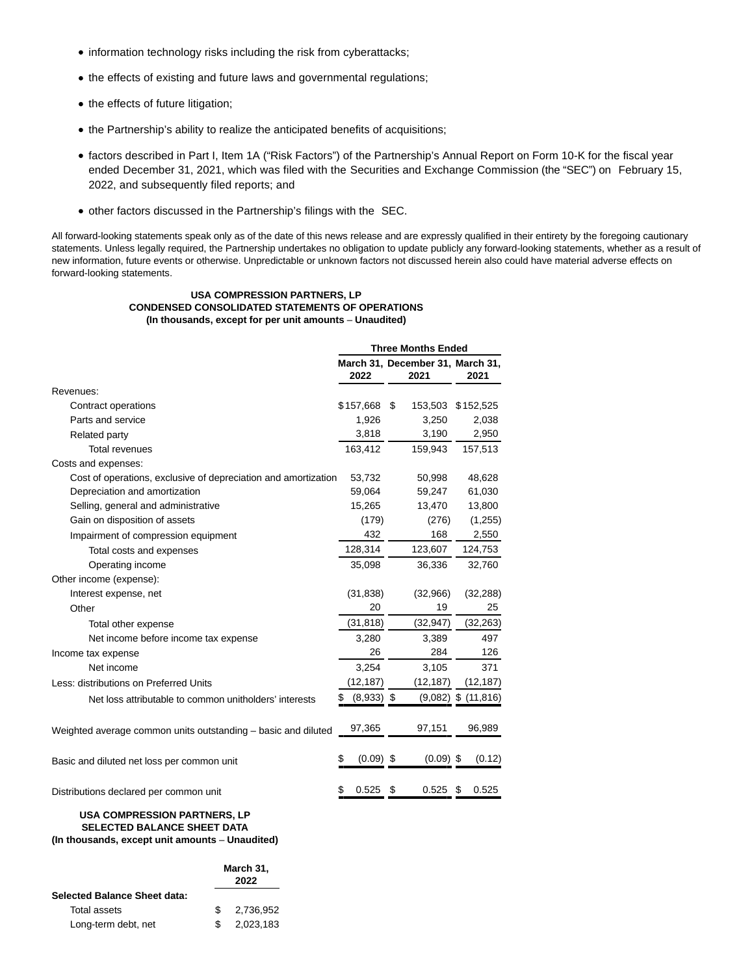- information technology risks including the risk from cyberattacks;
- the effects of existing and future laws and governmental regulations;
- the effects of future litigation;
- the Partnership's ability to realize the anticipated benefits of acquisitions;
- factors described in Part I, Item 1A ("Risk Factors") of the Partnership's Annual Report on Form 10-K for the fiscal year ended December 31, 2021, which was filed with the Securities and Exchange Commission (the "SEC") on February 15, 2022, and subsequently filed reports; and
- other factors discussed in the Partnership's filings with the SEC.

All forward-looking statements speak only as of the date of this news release and are expressly qualified in their entirety by the foregoing cautionary statements. Unless legally required, the Partnership undertakes no obligation to update publicly any forward-looking statements, whether as a result of new information, future events or otherwise. Unpredictable or unknown factors not discussed herein also could have material adverse effects on forward-looking statements.

#### **USA COMPRESSION PARTNERS, LP CONDENSED CONSOLIDATED STATEMENTS OF OPERATIONS (In thousands, except for per unit amounts** – **Unaudited)**

|                                                                    | <b>Three Months Ended</b> |    |                                          |  |                         |
|--------------------------------------------------------------------|---------------------------|----|------------------------------------------|--|-------------------------|
|                                                                    | 2022                      |    | March 31, December 31, March 31,<br>2021 |  | 2021                    |
| Revenues:                                                          |                           |    |                                          |  |                         |
| Contract operations                                                | \$157,668                 | \$ | 153,503                                  |  | \$152,525               |
| Parts and service                                                  | 1,926                     |    | 3,250                                    |  | 2,038                   |
| Related party                                                      | 3,818                     |    | 3,190                                    |  | 2,950                   |
| <b>Total revenues</b>                                              | 163,412                   |    | 159,943                                  |  | 157,513                 |
| Costs and expenses:                                                |                           |    |                                          |  |                         |
| Cost of operations, exclusive of depreciation and amortization     | 53,732                    |    | 50,998                                   |  | 48,628                  |
| Depreciation and amortization                                      | 59,064                    |    | 59,247                                   |  | 61,030                  |
| Selling, general and administrative                                | 15,265                    |    | 13,470                                   |  | 13,800                  |
| Gain on disposition of assets                                      | (179)                     |    | (276)                                    |  | (1,255)                 |
| Impairment of compression equipment                                | 432                       |    | 168                                      |  | 2,550                   |
| Total costs and expenses                                           | 128,314                   |    | 123,607                                  |  | 124,753                 |
| Operating income                                                   | 35,098                    |    | 36,336                                   |  | 32,760                  |
| Other income (expense):                                            |                           |    |                                          |  |                         |
| Interest expense, net                                              | (31, 838)                 |    | (32,966)                                 |  | (32, 288)               |
| Other                                                              | 20                        |    | 19                                       |  | 25                      |
| Total other expense                                                | (31, 818)                 |    | (32, 947)                                |  | (32, 263)               |
| Net income before income tax expense                               | 3.280                     |    | 3,389                                    |  | 497                     |
| Income tax expense                                                 | 26                        |    | 284                                      |  | 126                     |
| Net income                                                         | 3,254                     |    | 3,105                                    |  | 371                     |
| Less: distributions on Preferred Units                             | (12, 187)                 |    | (12, 187)                                |  | (12, 187)               |
| Net loss attributable to common unitholders' interests             | $(8,933)$ \$<br>S         |    |                                          |  | $(9,082)$ \$ $(11,816)$ |
| Weighted average common units outstanding - basic and diluted      | 97,365                    |    | 97,151                                   |  | 96,989                  |
| Basic and diluted net loss per common unit                         | \$<br>$(0.09)$ \$         |    | $(0.09)$ \$                              |  | (0.12)                  |
| Distributions declared per common unit                             | $0.525$ \$                |    | $0.525$ \$                               |  | 0.525                   |
| <b>USA COMPRESSION PARTNERS, LP</b><br>SELECTED BALANCE SHEET DATA |                           |    |                                          |  |                         |

**(In thousands, except unit amounts** – **Unaudited)**

|                                     |    | March 31,<br>2022 |
|-------------------------------------|----|-------------------|
| <b>Selected Balance Sheet data:</b> |    |                   |
| Total assets                        | S. | 2.736.952         |
| Long-term debt, net                 |    | 2,023,183         |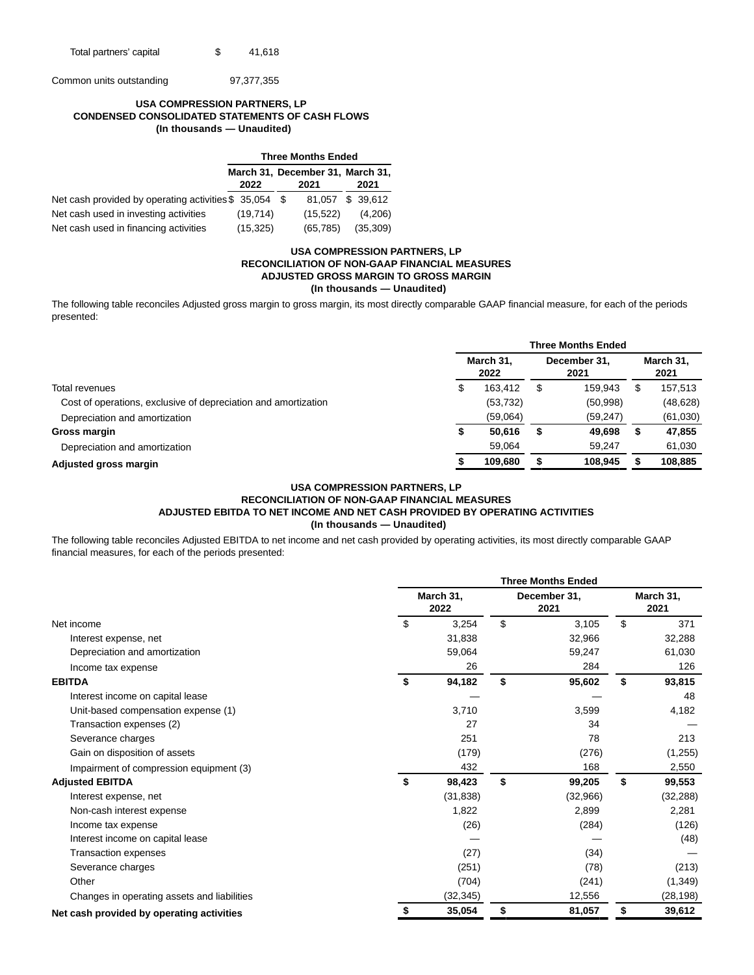Common units outstanding 97,377,355

# **USA COMPRESSION PARTNERS, LP CONDENSED CONSOLIDATED STATEMENTS OF CASH FLOWS (In thousands — Unaudited)**

|                                                       | <b>Three Months Ended</b> |  |                                          |  |           |  |
|-------------------------------------------------------|---------------------------|--|------------------------------------------|--|-----------|--|
|                                                       | 2022                      |  | March 31, December 31, March 31,<br>2021 |  | 2021      |  |
| Net cash provided by operating activities \$35,054 \$ |                           |  | 81.057                                   |  | \$ 39.612 |  |
| Net cash used in investing activities                 | (19, 714)                 |  | (15.522)                                 |  | (4,206)   |  |
| Net cash used in financing activities                 | (15, 325)                 |  | (65, 785)                                |  | (35,309)  |  |

# **USA COMPRESSION PARTNERS, LP RECONCILIATION OF NON-GAAP FINANCIAL MEASURES ADJUSTED GROSS MARGIN TO GROSS MARGIN (In thousands — Unaudited)**

The following table reconciles Adjusted gross margin to gross margin, its most directly comparable GAAP financial measure, for each of the periods presented:

|                                                                | <b>Three Months Ended</b> |           |                      |           |                   |           |
|----------------------------------------------------------------|---------------------------|-----------|----------------------|-----------|-------------------|-----------|
|                                                                | March 31.<br>2022         |           | December 31.<br>2021 |           | March 31.<br>2021 |           |
| Total revenues                                                 |                           | 163.412   | S                    | 159.943   |                   | 157.513   |
| Cost of operations, exclusive of depreciation and amortization |                           | (53, 732) |                      | (50, 998) |                   | (48, 628) |
| Depreciation and amortization                                  |                           | (59,064)  |                      | (59, 247) |                   | (61,030)  |
| Gross margin                                                   |                           | 50,616    | S                    | 49.698    | S                 | 47.855    |
| Depreciation and amortization                                  |                           | 59.064    |                      | 59.247    |                   | 61.030    |
| Adjusted gross margin                                          |                           | 109,680   |                      | 108.945   |                   | 108.885   |

# **USA COMPRESSION PARTNERS, LP RECONCILIATION OF NON-GAAP FINANCIAL MEASURES ADJUSTED EBITDA TO NET INCOME AND NET CASH PROVIDED BY OPERATING ACTIVITIES (In thousands — Unaudited)**

The following table reconciles Adjusted EBITDA to net income and net cash provided by operating activities, its most directly comparable GAAP financial measures, for each of the periods presented:

|                                             | <b>Three Months Ended</b> |           |    |                      |                   |           |  |
|---------------------------------------------|---------------------------|-----------|----|----------------------|-------------------|-----------|--|
|                                             | March 31,<br>2022         |           |    | December 31,<br>2021 | March 31,<br>2021 |           |  |
| Net income                                  | \$                        | 3,254     | \$ | 3,105                | \$                | 371       |  |
| Interest expense, net                       |                           | 31,838    |    | 32,966               |                   | 32,288    |  |
| Depreciation and amortization               |                           | 59,064    |    | 59,247               |                   | 61,030    |  |
| Income tax expense                          |                           | 26        |    | 284                  |                   | 126       |  |
| <b>EBITDA</b>                               | \$                        | 94,182    | \$ | 95,602               | \$                | 93,815    |  |
| Interest income on capital lease            |                           |           |    |                      |                   | 48        |  |
| Unit-based compensation expense (1)         |                           | 3,710     |    | 3,599                |                   | 4,182     |  |
| Transaction expenses (2)                    |                           | 27        |    | 34                   |                   |           |  |
| Severance charges                           |                           | 251       |    | 78                   |                   | 213       |  |
| Gain on disposition of assets               |                           | (179)     |    | (276)                |                   | (1,255)   |  |
| Impairment of compression equipment (3)     |                           | 432       |    | 168                  |                   | 2,550     |  |
| <b>Adjusted EBITDA</b>                      | \$                        | 98,423    | \$ | 99,205               | \$                | 99,553    |  |
| Interest expense, net                       |                           | (31, 838) |    | (32,966)             |                   | (32, 288) |  |
| Non-cash interest expense                   |                           | 1,822     |    | 2,899                |                   | 2,281     |  |
| Income tax expense                          |                           | (26)      |    | (284)                |                   | (126)     |  |
| Interest income on capital lease            |                           |           |    |                      |                   | (48)      |  |
| Transaction expenses                        |                           | (27)      |    | (34)                 |                   |           |  |
| Severance charges                           |                           | (251)     |    | (78)                 |                   | (213)     |  |
| Other                                       |                           | (704)     |    | (241)                |                   | (1, 349)  |  |
| Changes in operating assets and liabilities |                           | (32, 345) |    | 12,556               |                   | (28,198)  |  |
| Net cash provided by operating activities   |                           | 35,054    | \$ | 81,057               | \$                | 39,612    |  |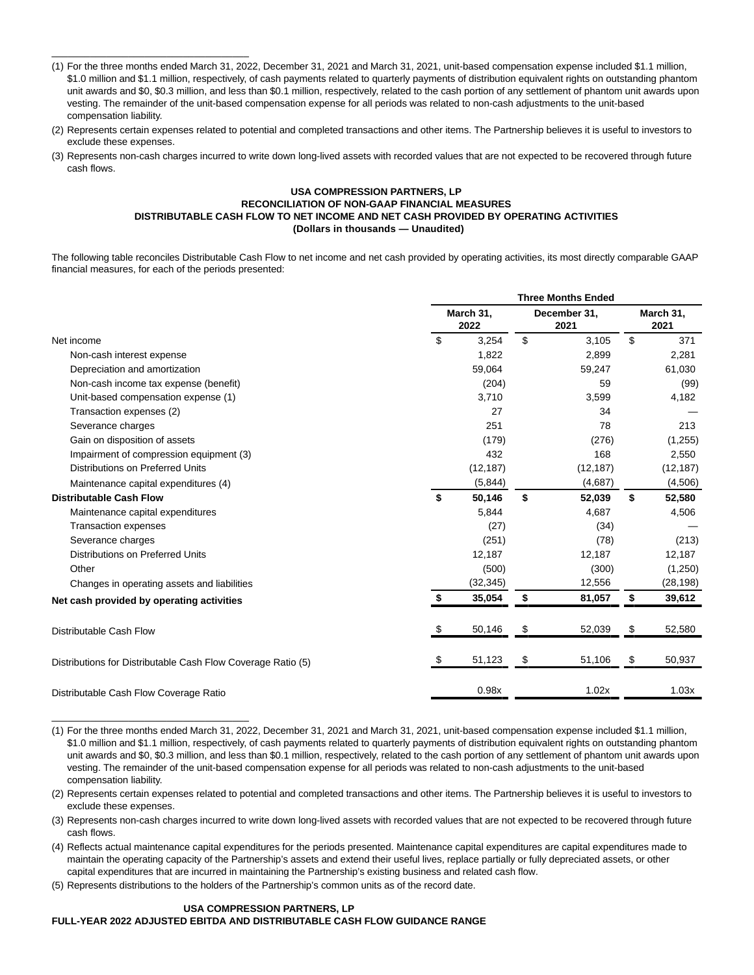(1) For the three months ended March 31, 2022, December 31, 2021 and March 31, 2021, unit-based compensation expense included \$1.1 million, \$1.0 million and \$1.1 million, respectively, of cash payments related to quarterly payments of distribution equivalent rights on outstanding phantom unit awards and \$0, \$0.3 million, and less than \$0.1 million, respectively, related to the cash portion of any settlement of phantom unit awards upon vesting. The remainder of the unit-based compensation expense for all periods was related to non-cash adjustments to the unit-based compensation liability.

\_\_\_\_\_\_\_\_\_\_\_\_\_\_\_\_\_\_\_\_\_\_\_\_\_\_\_\_\_\_\_\_\_\_\_\_

\_\_\_\_\_\_\_\_\_\_\_\_\_\_\_\_\_\_\_\_\_\_\_\_\_\_\_\_\_\_\_\_\_\_\_\_

- (2) Represents certain expenses related to potential and completed transactions and other items. The Partnership believes it is useful to investors to exclude these expenses.
- (3) Represents non-cash charges incurred to write down long-lived assets with recorded values that are not expected to be recovered through future cash flows.

# **USA COMPRESSION PARTNERS, LP RECONCILIATION OF NON-GAAP FINANCIAL MEASURES DISTRIBUTABLE CASH FLOW TO NET INCOME AND NET CASH PROVIDED BY OPERATING ACTIVITIES (Dollars in thousands — Unaudited)**

The following table reconciles Distributable Cash Flow to net income and net cash provided by operating activities, its most directly comparable GAAP financial measures, for each of the periods presented:

|                                                              | <b>Three Months Ended</b> |           |                      |           |    |                   |
|--------------------------------------------------------------|---------------------------|-----------|----------------------|-----------|----|-------------------|
|                                                              | March 31,<br>2022         |           | December 31,<br>2021 |           |    | March 31,<br>2021 |
| Net income                                                   | \$                        | 3,254     | \$                   | 3,105     | \$ | 371               |
| Non-cash interest expense                                    |                           | 1,822     |                      | 2,899     |    | 2,281             |
| Depreciation and amortization                                |                           | 59,064    |                      | 59,247    |    | 61,030            |
| Non-cash income tax expense (benefit)                        |                           | (204)     |                      | 59        |    | (99)              |
| Unit-based compensation expense (1)                          |                           | 3,710     |                      | 3,599     |    | 4,182             |
| Transaction expenses (2)                                     |                           | 27        |                      | 34        |    |                   |
| Severance charges                                            |                           | 251       |                      | 78        |    | 213               |
| Gain on disposition of assets                                |                           | (179)     |                      | (276)     |    | (1,255)           |
| Impairment of compression equipment (3)                      |                           | 432       |                      | 168       |    | 2,550             |
| Distributions on Preferred Units                             |                           | (12, 187) |                      | (12, 187) |    | (12, 187)         |
| Maintenance capital expenditures (4)                         |                           | (5,844)   |                      | (4,687)   |    | (4,506)           |
| <b>Distributable Cash Flow</b>                               | \$                        | 50,146    | \$                   | 52,039    | \$ | 52,580            |
| Maintenance capital expenditures                             |                           | 5,844     |                      | 4,687     |    | 4,506             |
| Transaction expenses                                         |                           | (27)      |                      | (34)      |    |                   |
| Severance charges                                            |                           | (251)     |                      | (78)      |    | (213)             |
| Distributions on Preferred Units                             |                           | 12,187    |                      | 12,187    |    | 12,187            |
| Other                                                        |                           | (500)     |                      | (300)     |    | (1,250)           |
| Changes in operating assets and liabilities                  |                           | (32, 345) |                      | 12,556    |    | (28, 198)         |
| Net cash provided by operating activities                    | \$                        | 35,054    | \$                   | 81,057    | \$ | 39,612            |
| Distributable Cash Flow                                      | S                         | 50,146    | \$                   | 52,039    | \$ | 52,580            |
| Distributions for Distributable Cash Flow Coverage Ratio (5) | S                         | 51,123    | \$                   | 51,106    | \$ | 50,937            |
| Distributable Cash Flow Coverage Ratio                       |                           | 0.98x     |                      | 1.02x     |    | 1.03x             |

(1) For the three months ended March 31, 2022, December 31, 2021 and March 31, 2021, unit-based compensation expense included \$1.1 million, \$1.0 million and \$1.1 million, respectively, of cash payments related to quarterly payments of distribution equivalent rights on outstanding phantom unit awards and \$0, \$0.3 million, and less than \$0.1 million, respectively, related to the cash portion of any settlement of phantom unit awards upon vesting. The remainder of the unit-based compensation expense for all periods was related to non-cash adjustments to the unit-based compensation liability.

(2) Represents certain expenses related to potential and completed transactions and other items. The Partnership believes it is useful to investors to exclude these expenses.

(3) Represents non-cash charges incurred to write down long-lived assets with recorded values that are not expected to be recovered through future cash flows.

- (4) Reflects actual maintenance capital expenditures for the periods presented. Maintenance capital expenditures are capital expenditures made to maintain the operating capacity of the Partnership's assets and extend their useful lives, replace partially or fully depreciated assets, or other capital expenditures that are incurred in maintaining the Partnership's existing business and related cash flow.
- (5) Represents distributions to the holders of the Partnership's common units as of the record date.

# **USA COMPRESSION PARTNERS, LP FULL-YEAR 2022 ADJUSTED EBITDA AND DISTRIBUTABLE CASH FLOW GUIDANCE RANGE**